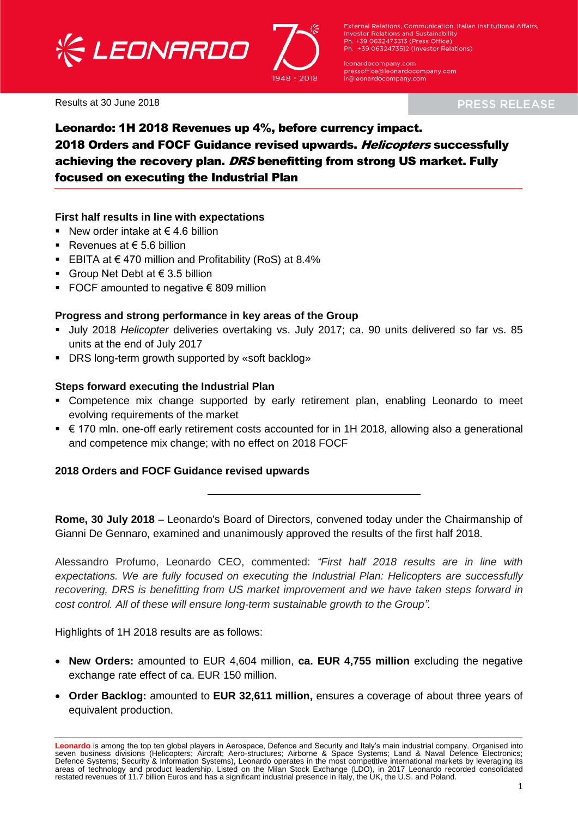



External Relations, Communication, Italian Institutional Affairs, **Investor Relations and Sustainability** Ph. +39 0632473313 (Press Office) Ph. +39 0632473512 (Investor Relations)

leonardocompany.com pressoffice@leonardocompany.com .<br>ir@leonardocompany.com

Results at 30 June 2018

**PRESS RELEASE** 

## Leonardo: 1H 2018 Revenues up 4%, before currency impact. 2018 Orders and FOCF Guidance revised upwards. Helicopters successfully achieving the recovery plan. DRS benefitting from strong US market. Fully focused on executing the Industrial Plan

#### **First half results in line with expectations**

- New order intake at  $\epsilon$  4.6 billion
- Revenues at  $\epsilon$  5.6 billion
- EBITA at €470 million and Profitability (RoS) at 8.4%
- Group Net Debt at  $\in$  3.5 billion
- FOCF amounted to negative  $\epsilon$  809 million

#### **Progress and strong performance in key areas of the Group**

- July 2018 *Helicopter* deliveries overtaking vs. July 2017; ca. 90 units delivered so far vs. 85 units at the end of July 2017
- DRS long-term growth supported by «soft backlog»

#### **Steps forward executing the Industrial Plan**

- Competence mix change supported by early retirement plan, enabling Leonardo to meet evolving requirements of the market
- € 170 mln. one-off early retirement costs accounted for in 1H 2018, allowing also a generational and competence mix change; with no effect on 2018 FOCF

#### **2018 Orders and FOCF Guidance revised upwards**

**Rome, 30 July 2018** – Leonardo's Board of Directors, convened today under the Chairmanship of Gianni De Gennaro, examined and unanimously approved the results of the first half 2018.

Alessandro Profumo, Leonardo CEO, commented: *"First half 2018 results are in line with expectations. We are fully focused on executing the Industrial Plan: Helicopters are successfully recovering, DRS is benefitting from US market improvement and we have taken steps forward in cost control. All of these will ensure long-term sustainable growth to the Group".*

Highlights of 1H 2018 results are as follows:

- **New Orders:** amounted to EUR 4,604 million, **ca. EUR 4,755 million** excluding the negative exchange rate effect of ca. EUR 150 million.
- **Order Backlog:** amounted to **EUR 32,611 million,** ensures a coverage of about three years of equivalent production.

**Leonardo** is among the top ten global players in Aerospace, Defence and Security and Italy's main industrial company. Organised into seven business divisions (Helicopters; Aircraft; Aero-structures; Airborne & Space Systems; Land & Naval Defence Electronics; Defence Systems; Security & Information Systems), Leonardo operates in the most competitive international markets by leveraging its areas of technology and product leadership. Listed on the Milan Stock Exchange (LDO), in 2017 Leonardo recorded consolidated<br>restated revenues of 11.7 billion Euros and has a significant industrial presence in Italy, the U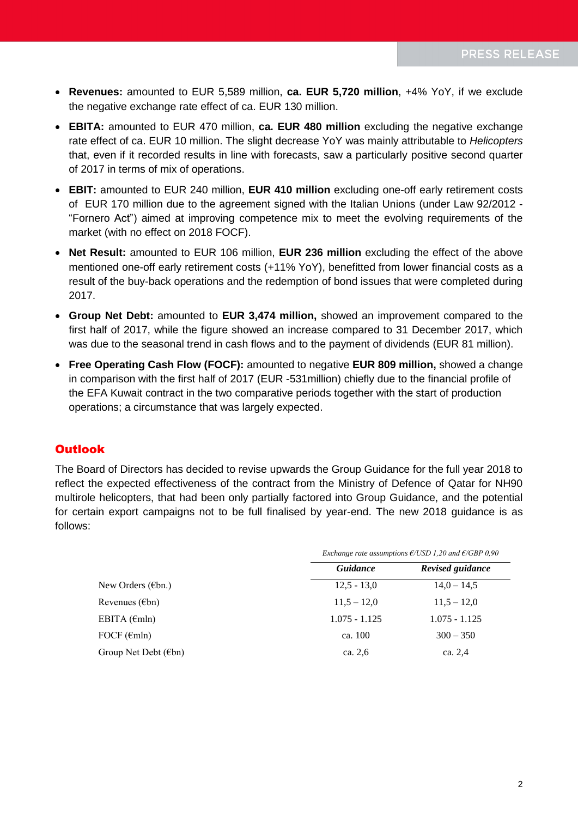- **Revenues:** amounted to EUR 5,589 million, **ca. EUR 5,720 million**, +4% YoY, if we exclude the negative exchange rate effect of ca. EUR 130 million.
- **EBITA:** amounted to EUR 470 million, **ca. EUR 480 million** excluding the negative exchange rate effect of ca. EUR 10 million. The slight decrease YoY was mainly attributable to *Helicopters* that, even if it recorded results in line with forecasts, saw a particularly positive second quarter of 2017 in terms of mix of operations.
- **EBIT:** amounted to EUR 240 million, **EUR 410 million** excluding one-off early retirement costs of EUR 170 million due to the agreement signed with the Italian Unions (under Law 92/2012 - "Fornero Act") aimed at improving competence mix to meet the evolving requirements of the market (with no effect on 2018 FOCF).
- **Net Result:** amounted to EUR 106 million, **EUR 236 million** excluding the effect of the above mentioned one-off early retirement costs (+11% YoY), benefitted from lower financial costs as a result of the buy-back operations and the redemption of bond issues that were completed during 2017.
- **Group Net Debt:** amounted to **EUR 3,474 million,** showed an improvement compared to the first half of 2017, while the figure showed an increase compared to 31 December 2017, which was due to the seasonal trend in cash flows and to the payment of dividends (EUR 81 million).
- **Free Operating Cash Flow (FOCF):** amounted to negative **EUR 809 million,** showed a change in comparison with the first half of 2017 (EUR -531million) chiefly due to the financial profile of the EFA Kuwait contract in the two comparative periods together with the start of production operations; a circumstance that was largely expected.

## Outlook

The Board of Directors has decided to revise upwards the Group Guidance for the full year 2018 to reflect the expected effectiveness of the contract from the Ministry of Defence of Qatar for NH90 multirole helicopters, that had been only partially factored into Group Guidance, and the potential for certain export campaigns not to be full finalised by year-end. The new 2018 guidance is as follows:

|                                |                 | Exchange rate assumptions $E/USD 1,20$ and $E/GBP 0,90$ |
|--------------------------------|-----------------|---------------------------------------------------------|
|                                | Guidance        | Revised guidance                                        |
| New Orders ( $\epsilon$ bn.)   | $12.5 - 13.0$   | $14.0 - 14.5$                                           |
| Revenues ( $\epsilon$ bn)      | $11.5 - 12.0$   | $11.5 - 12.0$                                           |
| EBITA $(\epsilon m)n$          | $1.075 - 1.125$ | $1.075 - 1.125$                                         |
| FOCF $(\epsilon mln)$          | ca. 100         | $300 - 350$                                             |
| Group Net Debt $(\epsilon$ bn) | ca. 2,6         | ca. 2,4                                                 |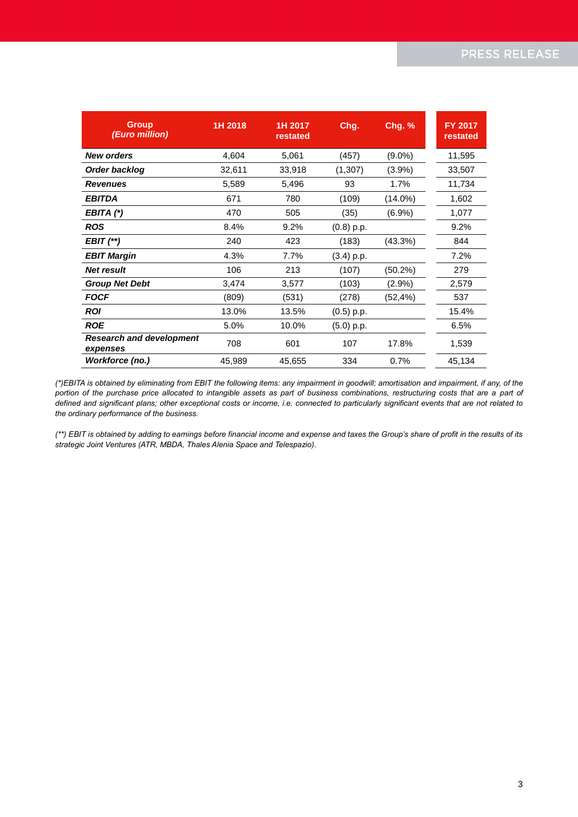| <b>Group</b><br>(Euro million)              | 1H 2018 | 1H 2017<br>restated | Chg.         | <b>Chg. %</b> | <b>FY 2017</b><br>restated |
|---------------------------------------------|---------|---------------------|--------------|---------------|----------------------------|
| <b>New orders</b>                           | 4,604   | 5,061               | (457)        | $(9.0\%)$     | 11,595                     |
| Order backlog                               | 32,611  | 33,918              | (1,307)      | $(3.9\%)$     | 33,507                     |
| <b>Revenues</b>                             | 5,589   | 5,496               | 93           | 1.7%          | 11,734                     |
| <b>EBITDA</b>                               | 671     | 780                 | (109)        | $(14.0\%)$    | 1,602                      |
| EBITA (*)                                   | 470     | 505                 | (35)         | $(6.9\%)$     | 1,077                      |
| <b>ROS</b>                                  | 8.4%    | 9.2%                | $(0.8)$ p.p. |               | 9.2%                       |
| $EBIT$ $(**)$                               | 240     | 423                 | (183)        | $(43.3\%)$    | 844                        |
| <b>EBIT Margin</b>                          | 4.3%    | 7.7%                | $(3.4)$ p.p. |               | 7.2%                       |
| <b>Net result</b>                           | 106     | 213                 | (107)        | $(50.2\%)$    | 279                        |
| <b>Group Net Debt</b>                       | 3,474   | 3,577               | (103)        | (2.9%)        | 2,579                      |
| <b>FOCF</b>                                 | (809)   | (531)               | (278)        | (52,4%)       | 537                        |
| <b>ROI</b>                                  | 13.0%   | 13.5%               | $(0.5)$ p.p. |               | 15.4%                      |
| <b>ROE</b>                                  | 5.0%    | 10.0%               | $(5.0)$ p.p. |               | 6.5%                       |
| <b>Research and development</b><br>expenses | 708     | 601                 | 107          | 17.8%         | 1,539                      |
| Workforce (no.)                             | 45,989  | 45,655              | 334          | 0.7%          | 45,134                     |

*(\*)EBITA is obtained by eliminating from EBIT the following items: any impairment in goodwill; amortisation and impairment, if any, of the portion of the purchase price allocated to intangible assets as part of business combinations, restructuring costs that are a part of defined and significant plans; other exceptional costs or income, i.e. connected to particularly significant events that are not related to the ordinary performance of the business.*

*(\*\*) EBIT is obtained by adding to earnings before financial income and expense and taxes the Group's share of profit in the results of its strategic Joint Ventures (ATR, MBDA, Thales Alenia Space and Telespazio).*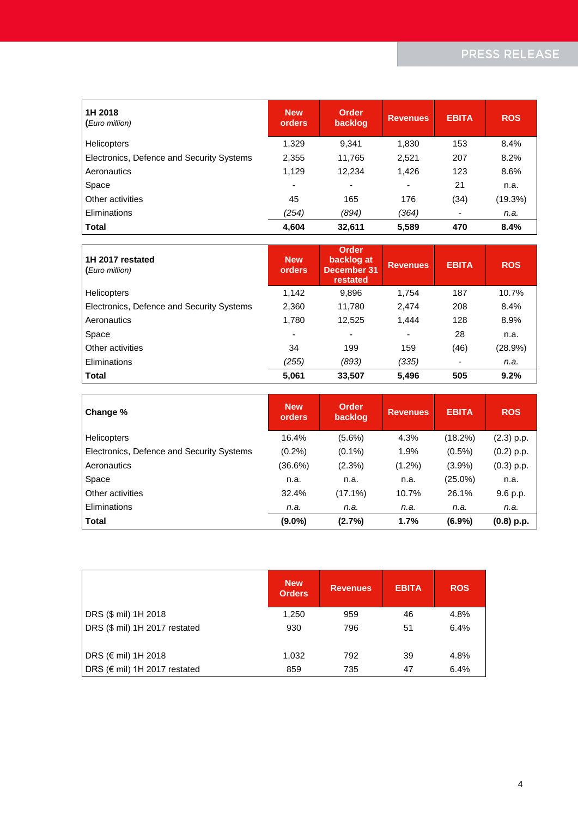| 1H 2018<br>(Euro million)                 | <b>New</b><br>orders     | <b>Order</b><br>backlog  | <b>Revenues</b> | <b>EBITA</b> | <b>ROS</b> |
|-------------------------------------------|--------------------------|--------------------------|-----------------|--------------|------------|
| <b>Helicopters</b>                        | 1,329                    | 9,341                    | 1,830           | 153          | 8.4%       |
| Electronics, Defence and Security Systems | 2,355                    | 11,765                   | 2,521           | 207          | 8.2%       |
| Aeronautics                               | 1,129                    | 12,234                   | 1,426           | 123          | 8.6%       |
| Space                                     | $\overline{\phantom{0}}$ | $\overline{\phantom{0}}$ | ۰               | 21           | n.a.       |
| Other activities                          | 45                       | 165                      | 176             | (34)         | (19.3%)    |
| Eliminations                              | (254)                    | (894)                    | (364)           | ٠            | n.a.       |
| <b>Total</b>                              | 4,604                    | 32,611                   | 5,589           | 470          | 8.4%       |

| 1H 2017 restated<br>(Euro million)        | <b>New</b><br>orders     | Order<br>backlog at<br><b>December 31</b><br>restated | <b>Revenues</b> | <b>EBITA</b> | <b>ROS</b> |
|-------------------------------------------|--------------------------|-------------------------------------------------------|-----------------|--------------|------------|
| <b>Helicopters</b>                        | 1,142                    | 9,896                                                 | 1,754           | 187          | 10.7%      |
| Electronics, Defence and Security Systems | 2,360                    | 11,780                                                | 2,474           | 208          | 8.4%       |
| Aeronautics                               | 1,780                    | 12,525                                                | 1.444           | 128          | 8.9%       |
| Space                                     | $\overline{\phantom{a}}$ |                                                       |                 | 28           | n.a.       |
| Other activities                          | 34                       | 199                                                   | 159             | (46)         | (28.9%)    |
| Eliminations                              | (255)                    | (893)                                                 | (335)           |              | n.a.       |
| <b>Total</b>                              | 5,061                    | 33,507                                                | 5.496           | 505          | 9.2%       |

| Change %                                  | <b>New</b><br>orders | Order<br>backlog | <b>Revenues</b> | <b>EBITA</b> | <b>ROS</b>   |
|-------------------------------------------|----------------------|------------------|-----------------|--------------|--------------|
| <b>Helicopters</b>                        | 16.4%                | $(5.6\%)$        | 4.3%            | $(18.2\%)$   | $(2.3)$ p.p. |
| Electronics, Defence and Security Systems | $(0.2\%)$            | $(0.1\%)$        | 1.9%            | $(0.5\%)$    | $(0.2)$ p.p. |
| Aeronautics                               | $(36.6\%)$           | (2.3%)           | $(1.2\%)$       | $(3.9\%)$    | $(0.3)$ p.p. |
| Space                                     | n.a.                 | n.a.             | n.a.            | $(25.0\%)$   | n.a.         |
| Other activities                          | 32.4%                | $(17.1\%)$       | 10.7%           | 26.1%        | 9.6 p.p.     |
| Eliminations                              | n.a.                 | n.a.             | n.a.            | n.a.         | n.a.         |
| <b>Total</b>                              | $(9.0\%)$            | (2.7%)           | 1.7%            | $(6.9\%)$    | $(0.8)$ p.p. |

|                               | <b>New</b><br><b>Orders</b> | <b>Revenues</b> | <b>EBITA</b> | <b>ROS</b> |
|-------------------------------|-----------------------------|-----------------|--------------|------------|
| DRS (\$ mil) 1H 2018          | 1,250                       | 959             | 46           | 4.8%       |
| DRS (\$ mil) 1H 2017 restated | 930                         | 796             | 51           | 6.4%       |
| DRS (€ mil) 1H 2018           | 1,032                       | 792             | 39           | 4.8%       |
| DRS (€ mil) 1H 2017 restated  | 859                         | 735             | 47           | 6.4%       |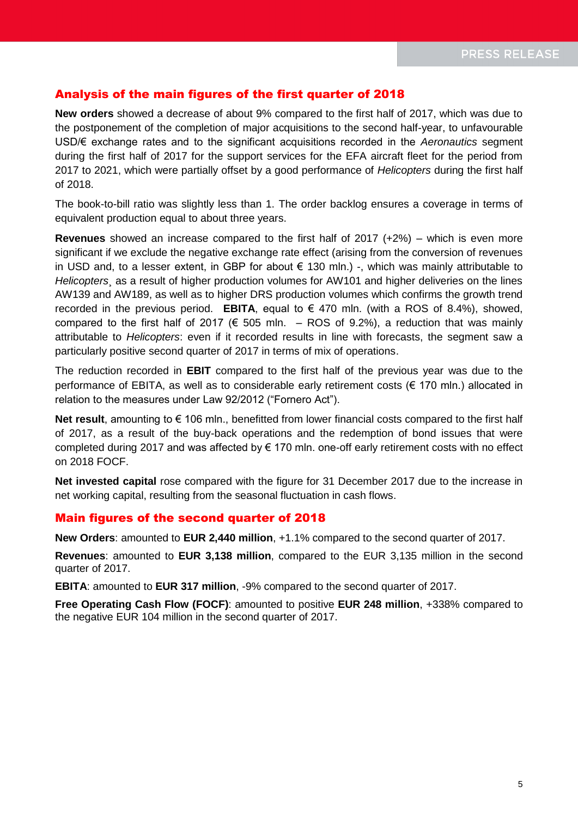### Analysis of the main figures of the first quarter of 2018

**New orders** showed a decrease of about 9% compared to the first half of 2017, which was due to the postponement of the completion of major acquisitions to the second half-year, to unfavourable USD/€ exchange rates and to the significant acquisitions recorded in the *Aeronautics* segment during the first half of 2017 for the support services for the EFA aircraft fleet for the period from 2017 to 2021, which were partially offset by a good performance of *Helicopters* during the first half of 2018.

The book-to-bill ratio was slightly less than 1. The order backlog ensures a coverage in terms of equivalent production equal to about three years.

**Revenues** showed an increase compared to the first half of 2017 (+2%) – which is even more significant if we exclude the negative exchange rate effect (arising from the conversion of revenues in USD and, to a lesser extent, in GBP for about  $\epsilon$  130 mln.) -, which was mainly attributable to *Helicopters*¸ as a result of higher production volumes for AW101 and higher deliveries on the lines AW139 and AW189, as well as to higher DRS production volumes which confirms the growth trend recorded in the previous period. **EBITA**, equal to  $\epsilon$  470 mln. (with a ROS of 8.4%), showed, compared to the first half of 2017 ( $\epsilon$  505 mln. – ROS of 9.2%), a reduction that was mainly attributable to *Helicopters*: even if it recorded results in line with forecasts, the segment saw a particularly positive second quarter of 2017 in terms of mix of operations.

The reduction recorded in **EBIT** compared to the first half of the previous year was due to the performance of EBITA, as well as to considerable early retirement costs (€ 170 mln.) allocated in relation to the measures under Law 92/2012 ("Fornero Act").

Net result, amounting to € 106 mln., benefitted from lower financial costs compared to the first half of 2017, as a result of the buy-back operations and the redemption of bond issues that were completed during 2017 and was affected by € 170 mln. one-off early retirement costs with no effect on 2018 FOCF.

**Net invested capital** rose compared with the figure for 31 December 2017 due to the increase in net working capital, resulting from the seasonal fluctuation in cash flows.

#### Main figures of the second quarter of 2018

**New Orders**: amounted to **EUR 2,440 million**, +1.1% compared to the second quarter of 2017.

**Revenues**: amounted to **EUR 3,138 million**, compared to the EUR 3,135 million in the second quarter of 2017.

**EBITA**: amounted to **EUR 317 million**, -9% compared to the second quarter of 2017.

**Free Operating Cash Flow (FOCF)**: amounted to positive **EUR 248 million**, +338% compared to the negative EUR 104 million in the second quarter of 2017.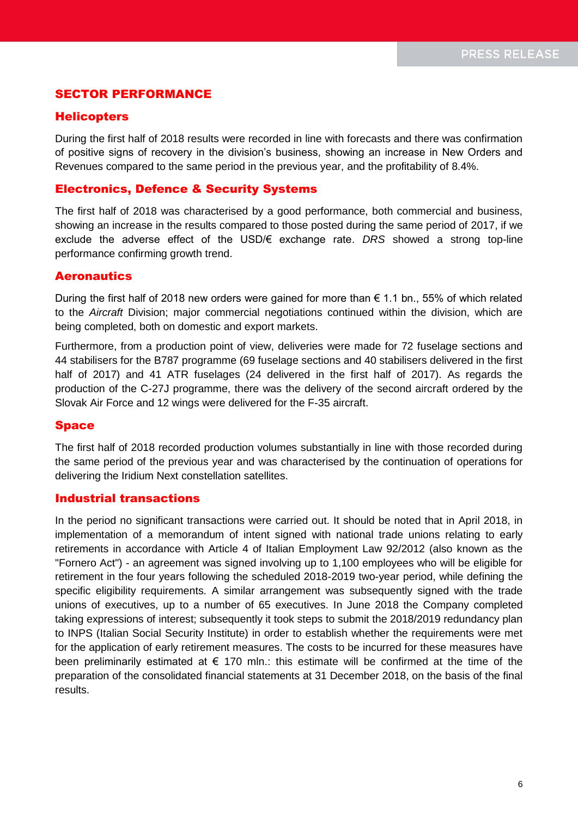### SECTOR PERFORMANCE

#### **Helicopters**

During the first half of 2018 results were recorded in line with forecasts and there was confirmation of positive signs of recovery in the division's business, showing an increase in New Orders and Revenues compared to the same period in the previous year, and the profitability of 8.4%.

#### Electronics, Defence & Security Systems

The first half of 2018 was characterised by a good performance, both commercial and business, showing an increase in the results compared to those posted during the same period of 2017, if we exclude the adverse effect of the USD/€ exchange rate. *DRS* showed a strong top-line performance confirming growth trend.

#### **Aeronautics**

During the first half of 2018 new orders were gained for more than  $€ 1.1$  bn., 55% of which related to the *Aircraft* Division; major commercial negotiations continued within the division, which are being completed, both on domestic and export markets.

Furthermore, from a production point of view, deliveries were made for 72 fuselage sections and 44 stabilisers for the B787 programme (69 fuselage sections and 40 stabilisers delivered in the first half of 2017) and 41 ATR fuselages (24 delivered in the first half of 2017). As regards the production of the C-27J programme, there was the delivery of the second aircraft ordered by the Slovak Air Force and 12 wings were delivered for the F-35 aircraft.

#### Space

The first half of 2018 recorded production volumes substantially in line with those recorded during the same period of the previous year and was characterised by the continuation of operations for delivering the Iridium Next constellation satellites.

#### Industrial transactions

In the period no significant transactions were carried out. It should be noted that in April 2018, in implementation of a memorandum of intent signed with national trade unions relating to early retirements in accordance with Article 4 of Italian Employment Law 92/2012 (also known as the "Fornero Act") - an agreement was signed involving up to 1,100 employees who will be eligible for retirement in the four years following the scheduled 2018-2019 two-year period, while defining the specific eligibility requirements. A similar arrangement was subsequently signed with the trade unions of executives, up to a number of 65 executives. In June 2018 the Company completed taking expressions of interest; subsequently it took steps to submit the 2018/2019 redundancy plan to INPS (Italian Social Security Institute) in order to establish whether the requirements were met for the application of early retirement measures. The costs to be incurred for these measures have been preliminarily estimated at  $\epsilon$  170 mln.: this estimate will be confirmed at the time of the preparation of the consolidated financial statements at 31 December 2018, on the basis of the final results.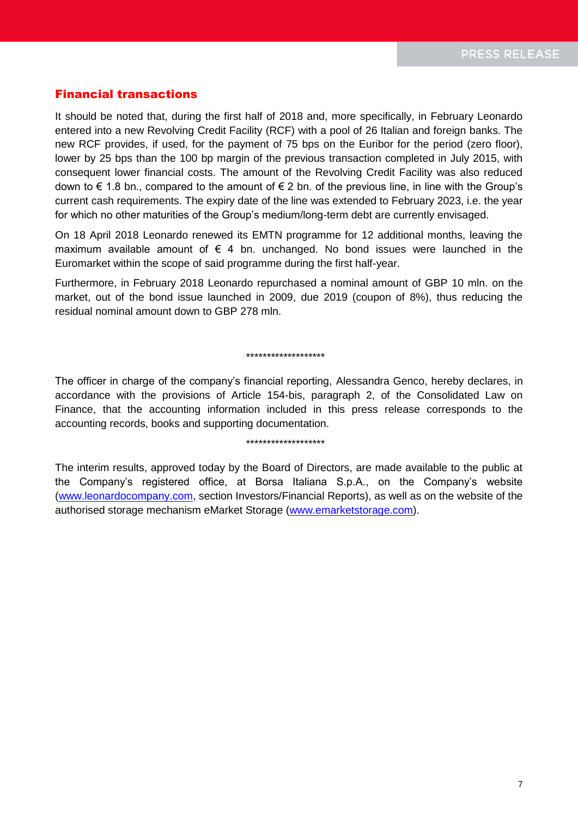#### Financial transactions

It should be noted that, during the first half of 2018 and, more specifically, in February Leonardo entered into a new Revolving Credit Facility (RCF) with a pool of 26 Italian and foreign banks. The new RCF provides, if used, for the payment of 75 bps on the Euribor for the period (zero floor), lower by 25 bps than the 100 bp margin of the previous transaction completed in July 2015, with consequent lower financial costs. The amount of the Revolving Credit Facility was also reduced down to  $\epsilon$  1.8 bn., compared to the amount of  $\epsilon$  2 bn. of the previous line, in line with the Group's current cash requirements. The expiry date of the line was extended to February 2023, i.e. the year for which no other maturities of the Group's medium/long-term debt are currently envisaged.

On 18 April 2018 Leonardo renewed its EMTN programme for 12 additional months, leaving the maximum available amount of  $\epsilon$  4 bn. unchanged. No bond issues were launched in the Euromarket within the scope of said programme during the first half-year.

Furthermore, in February 2018 Leonardo repurchased a nominal amount of GBP 10 mln. on the market, out of the bond issue launched in 2009, due 2019 (coupon of 8%), thus reducing the residual nominal amount down to GBP 278 mln.

#### \*\*\*\*\*\*\*\*\*\*\*\*\*\*\*\*\*\*\*

The officer in charge of the company's financial reporting, Alessandra Genco, hereby declares, in accordance with the provisions of Article 154-bis, paragraph 2, of the Consolidated Law on Finance, that the accounting information included in this press release corresponds to the accounting records, books and supporting documentation.

#### \*\*\*\*\*\*\*\*\*\*\*\*\*\*\*\*\*\*\*

The interim results, approved today by the Board of Directors, are made available to the public at the Company's registered office, at Borsa Italiana S.p.A., on the Company's website [\(www.leonardocompany.com,](http://www.leonardocompany.com/) section Investors/Financial Reports), as well as on the website of the authorised storage mechanism eMarket Storage [\(www.emarketstorage.com\)](http://www.emarketstorage.com/).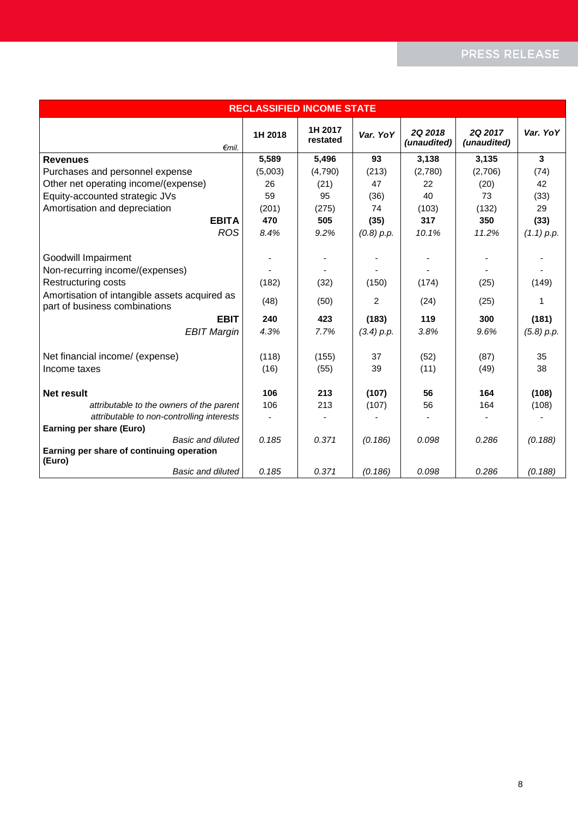# PRESS RELEASE

| <b>RECLASSIFIED INCOME STATE</b>                                               |         |                     |            |                               |                               |              |  |
|--------------------------------------------------------------------------------|---------|---------------------|------------|-------------------------------|-------------------------------|--------------|--|
| $\epsilon$ mil.                                                                | 1H 2018 | 1H 2017<br>restated | Var. YoY   | <b>2Q 2018</b><br>(unaudited) | <b>2Q 2017</b><br>(unaudited) | Var. YoY     |  |
| <b>Revenues</b>                                                                | 5,589   | 5,496               | 93         | 3,138                         | 3,135                         | 3            |  |
| Purchases and personnel expense                                                | (5,003) | (4,790)             | (213)      | (2,780)                       | (2,706)                       | (74)         |  |
| Other net operating income/(expense)                                           | 26      | (21)                | 47         | 22                            | (20)                          | 42           |  |
| Equity-accounted strategic JVs                                                 | 59      | 95                  | (36)       | 40                            | 73                            | (33)         |  |
| Amortisation and depreciation                                                  | (201)   | (275)               | 74         | (103)                         | (132)                         | 29           |  |
| <b>EBITA</b>                                                                   | 470     | 505                 | (35)       | 317                           | 350                           | (33)         |  |
| <b>ROS</b>                                                                     | 8.4%    | 9.2%                | (0.8) p.p. | 10.1%                         | 11.2%                         | $(1.1)$ p.p. |  |
| Goodwill Impairment                                                            |         |                     |            |                               |                               |              |  |
| Non-recurring income/(expenses)                                                |         |                     |            |                               |                               |              |  |
| Restructuring costs                                                            | (182)   | (32)                | (150)      | (174)                         | (25)                          | (149)        |  |
| Amortisation of intangible assets acquired as<br>part of business combinations | (48)    | (50)                | 2          | (24)                          | (25)                          | 1            |  |
| <b>EBIT</b>                                                                    | 240     | 423                 | (183)      | 119                           | 300                           | (181)        |  |
| <b>EBIT Margin</b>                                                             | 4.3%    | 7.7%                | (3.4) p.p. | 3.8%                          | 9.6%                          | (5.8) p.p.   |  |
| Net financial income/ (expense)                                                | (118)   | (155)               | 37         | (52)                          | (87)                          | 35           |  |
| Income taxes                                                                   | (16)    | (55)                | 39         | (11)                          | (49)                          | 38           |  |
| <b>Net result</b>                                                              | 106     | 213                 | (107)      | 56                            | 164                           | (108)        |  |
| attributable to the owners of the parent                                       | 106     | 213                 | (107)      | 56                            | 164                           | (108)        |  |
| attributable to non-controlling interests                                      |         |                     |            |                               |                               |              |  |
| Earning per share (Euro)                                                       |         |                     |            |                               |                               |              |  |
| Basic and diluted                                                              | 0.185   | 0.371               | (0.186)    | 0.098                         | 0.286                         | (0.188)      |  |
| Earning per share of continuing operation<br>(Euro)                            |         |                     |            |                               |                               |              |  |
| <b>Basic and diluted</b>                                                       | 0.185   | 0.371               | (0.186)    | 0.098                         | 0.286                         | (0.188)      |  |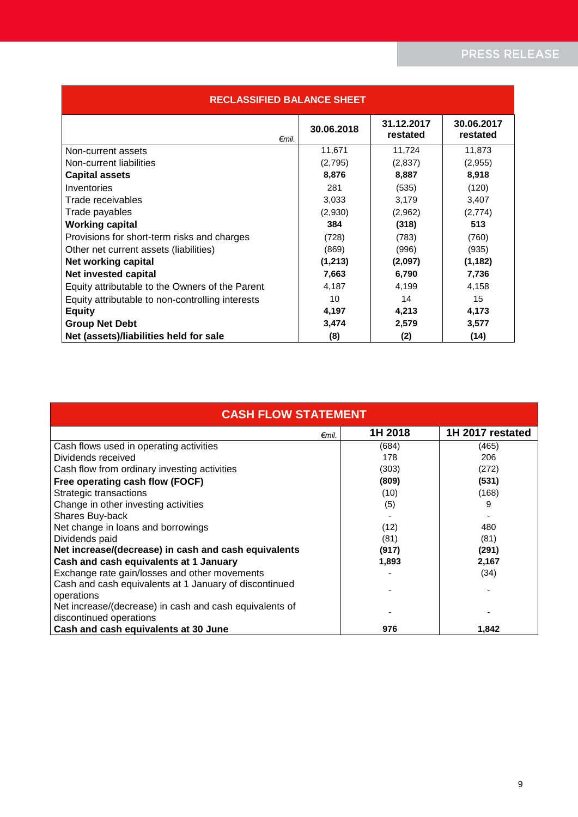| <b>RECLASSIFIED BALANCE SHEET</b>                |            |                        |                        |  |  |  |
|--------------------------------------------------|------------|------------------------|------------------------|--|--|--|
| $\epsilon$ mil.                                  | 30.06.2018 | 31.12.2017<br>restated | 30.06.2017<br>restated |  |  |  |
| Non-current assets                               | 11,671     | 11,724                 | 11,873                 |  |  |  |
| Non-current liabilities                          | (2,795)    | (2,837)                | (2,955)                |  |  |  |
| <b>Capital assets</b>                            | 8,876      | 8,887                  | 8,918                  |  |  |  |
| Inventories                                      | 281        | (535)                  | (120)                  |  |  |  |
| Trade receivables                                | 3,033      | 3,179                  | 3,407                  |  |  |  |
| Trade payables                                   | (2,930)    | (2,962)                | (2,774)                |  |  |  |
| <b>Working capital</b>                           | 384        | (318)                  | 513                    |  |  |  |
| Provisions for short-term risks and charges      | (728)      | (783)                  | (760)                  |  |  |  |
| Other net current assets (liabilities)           | (869)      | (996)                  | (935)                  |  |  |  |
| Net working capital                              | (1,213)    | (2,097)                | (1, 182)               |  |  |  |
| Net invested capital                             | 7,663      | 6,790                  | 7,736                  |  |  |  |
| Equity attributable to the Owners of the Parent  | 4,187      | 4,199                  | 4,158                  |  |  |  |
| Equity attributable to non-controlling interests | 10         | 14                     | 15                     |  |  |  |
| <b>Equity</b>                                    | 4,197      | 4,213                  | 4,173                  |  |  |  |
| <b>Group Net Debt</b>                            | 3,474      | 2,579                  | 3,577                  |  |  |  |
| Net (assets)/liabilities held for sale           | (8)        | (2)                    | (14)                   |  |  |  |

| <b>CASH FLOW STATEMENT</b>                              |         |                  |  |  |
|---------------------------------------------------------|---------|------------------|--|--|
| $\epsilon$ mil.                                         | 1H 2018 | 1H 2017 restated |  |  |
| Cash flows used in operating activities                 | (684)   | (465)            |  |  |
| Dividends received                                      | 178     | 206              |  |  |
| Cash flow from ordinary investing activities            | (303)   | (272)            |  |  |
| Free operating cash flow (FOCF)                         | (809)   | (531)            |  |  |
| Strategic transactions                                  | (10)    | (168)            |  |  |
| Change in other investing activities                    | (5)     | 9                |  |  |
| Shares Buy-back                                         |         |                  |  |  |
| Net change in loans and borrowings                      | (12)    | 480              |  |  |
| Dividends paid                                          | (81)    | (81)             |  |  |
| Net increase/(decrease) in cash and cash equivalents    | (917)   | (291)            |  |  |
| Cash and cash equivalents at 1 January                  | 1,893   | 2,167            |  |  |
| Exchange rate gain/losses and other movements           |         | (34)             |  |  |
| Cash and cash equivalents at 1 January of discontinued  |         |                  |  |  |
| operations                                              |         |                  |  |  |
| Net increase/(decrease) in cash and cash equivalents of |         |                  |  |  |
| discontinued operations                                 |         |                  |  |  |
| Cash and cash equivalents at 30 June                    | 976     | 1,842            |  |  |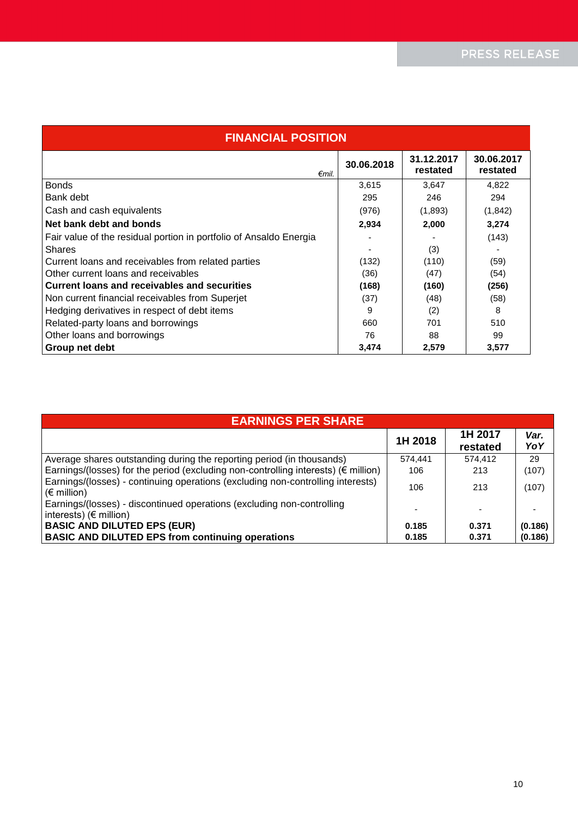| <b>FINANCIAL POSITION</b>                                          |            |                        |                        |  |  |  |  |
|--------------------------------------------------------------------|------------|------------------------|------------------------|--|--|--|--|
| $\epsilon$ mil.                                                    | 30.06.2018 | 31.12.2017<br>restated | 30.06.2017<br>restated |  |  |  |  |
| <b>Bonds</b>                                                       | 3,615      | 3,647                  | 4,822                  |  |  |  |  |
| Bank debt                                                          | 295        | 246                    | 294                    |  |  |  |  |
| Cash and cash equivalents                                          | (976)      | (1,893)                | (1,842)                |  |  |  |  |
| Net bank debt and bonds                                            | 2,934      | 2,000                  | 3,274                  |  |  |  |  |
| Fair value of the residual portion in portfolio of Ansaldo Energia |            |                        | (143)                  |  |  |  |  |
| <b>Shares</b>                                                      |            | (3)                    |                        |  |  |  |  |
| Current loans and receivables from related parties                 | (132)      | (110)                  | (59)                   |  |  |  |  |
| Other current loans and receivables                                | (36)       | (47)                   | (54)                   |  |  |  |  |
| Current loans and receivables and securities                       | (168)      | (160)                  | (256)                  |  |  |  |  |
| Non current financial receivables from Superjet                    | (37)       | (48)                   | (58)                   |  |  |  |  |
| Hedging derivatives in respect of debt items                       | 9          | (2)                    | 8                      |  |  |  |  |
| Related-party loans and borrowings                                 | 660        | 701                    | 510                    |  |  |  |  |
| Other loans and borrowings                                         | 76         | 88                     | 99                     |  |  |  |  |
| Group net debt                                                     | 3,474      | 2,579                  | 3,577                  |  |  |  |  |

| <b>EARNINGS PER SHARE</b>                                                                                 |         |                     |             |  |
|-----------------------------------------------------------------------------------------------------------|---------|---------------------|-------------|--|
|                                                                                                           | 1H 2018 | 1H 2017<br>restated | Var.<br>YoY |  |
| Average shares outstanding during the reporting period (in thousands)                                     | 574.441 | 574.412             | 29          |  |
| Earnings/(losses) for the period (excluding non-controlling interests) (€ million)                        | 106     | 213                 | (107)       |  |
| Earnings/(losses) - continuing operations (excluding non-controlling interests)<br>$\mathcal{E}$ million) | 106     | 213                 | (107)       |  |
| Earnings/(losses) - discontinued operations (excluding non-controlling<br>interests) ( $\notin$ million)  |         |                     |             |  |
| <b>BASIC AND DILUTED EPS (EUR)</b>                                                                        | 0.185   | 0.371               | (0.186)     |  |
| <b>BASIC AND DILUTED EPS from continuing operations</b>                                                   | 0.185   | 0.371               | (0.186)     |  |